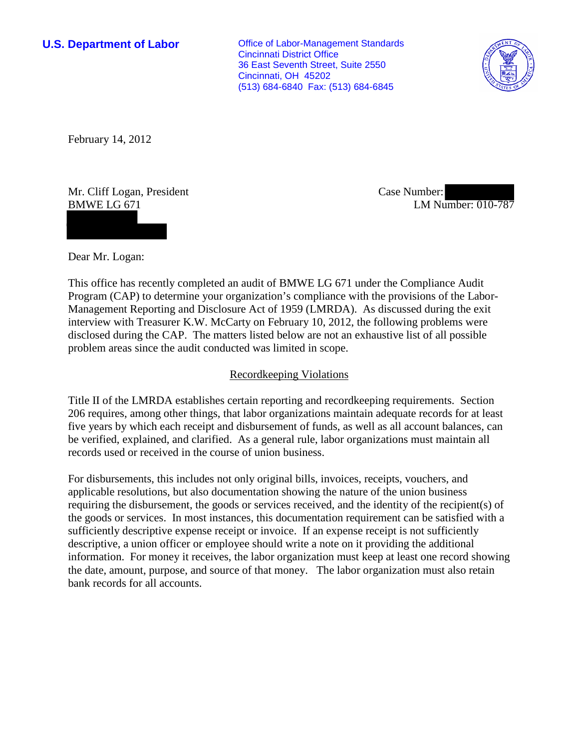**U.S. Department of Labor Conservative Conservative Conservative Conservative Conservative Conservative Conservative Conservative Conservative Conservative Conservative Conservative Conservative Conservative Conservative** Cincinnati District Office 36 East Seventh Street, Suite 2550 Cincinnati, OH 45202 (513) 684-6840 Fax: (513) 684-6845



February 14, 2012

Mr. Cliff Logan, President BMWE LG 671

Case Number: LM Number: 010-787

Dear Mr. Logan:

This office has recently completed an audit of BMWE LG 671 under the Compliance Audit Program (CAP) to determine your organization's compliance with the provisions of the Labor-Management Reporting and Disclosure Act of 1959 (LMRDA). As discussed during the exit interview with Treasurer K.W. McCarty on February 10, 2012, the following problems were disclosed during the CAP. The matters listed below are not an exhaustive list of all possible problem areas since the audit conducted was limited in scope.

## Recordkeeping Violations

Title II of the LMRDA establishes certain reporting and recordkeeping requirements. Section 206 requires, among other things, that labor organizations maintain adequate records for at least five years by which each receipt and disbursement of funds, as well as all account balances, can be verified, explained, and clarified. As a general rule, labor organizations must maintain all records used or received in the course of union business.

For disbursements, this includes not only original bills, invoices, receipts, vouchers, and applicable resolutions, but also documentation showing the nature of the union business requiring the disbursement, the goods or services received, and the identity of the recipient(s) of the goods or services. In most instances, this documentation requirement can be satisfied with a sufficiently descriptive expense receipt or invoice. If an expense receipt is not sufficiently descriptive, a union officer or employee should write a note on it providing the additional information. For money it receives, the labor organization must keep at least one record showing the date, amount, purpose, and source of that money. The labor organization must also retain bank records for all accounts.